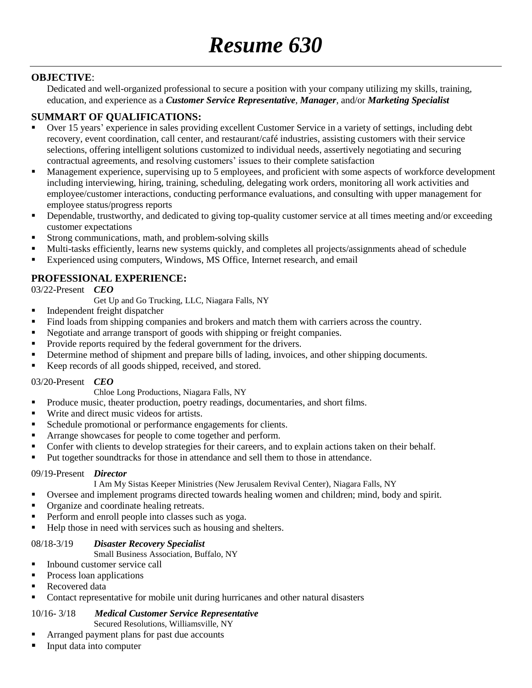## **OBJECTIVE**:

Dedicated and well-organized professional to secure a position with your company utilizing my skills, training, education, and experience as a *Customer Service Representative*, *Manager*, and/or *Marketing Specialist*

# **SUMMART OF QUALIFICATIONS:**

- Over 15 years' experience in sales providing excellent Customer Service in a variety of settings, including debt recovery, event coordination, call center, and restaurant/café industries, assisting customers with their service selections, offering intelligent solutions customized to individual needs, assertively negotiating and securing contractual agreements, and resolving customers' issues to their complete satisfaction
- Management experience, supervising up to 5 employees, and proficient with some aspects of workforce development including interviewing, hiring, training, scheduling, delegating work orders, monitoring all work activities and employee/customer interactions, conducting performance evaluations, and consulting with upper management for employee status/progress reports
- Dependable, trustworthy, and dedicated to giving top-quality customer service at all times meeting and/or exceeding customer expectations
- **Strong communications, math, and problem-solving skills**
- Multi-tasks efficiently, learns new systems quickly, and completes all projects/assignments ahead of schedule
- Experienced using computers, Windows, MS Office, Internet research, and email

# **PROFESSIONAL EXPERIENCE:**

03/22-Present *CEO*

Get Up and Go Trucking, LLC, Niagara Falls, NY

- **Independent freight dispatcher**
- Find loads from shipping companies and brokers and match them with carriers across the country.
- Negotiate and arrange transport of goods with shipping or freight companies.
- Provide reports required by the federal government for the drivers.
- Determine method of shipment and prepare bills of lading, invoices, and other shipping documents.
- Keep records of all goods shipped, received, and stored.

#### 03/20-Present *CEO*

Chloe Long Productions, Niagara Falls, NY

- Produce music, theater production, poetry readings, documentaries, and short films.
- Write and direct music videos for artists.
- Schedule promotional or performance engagements for clients.
- Arrange showcases for people to come together and perform.
- Confer with clients to develop strategies for their careers, and to explain actions taken on their behalf.
- Put together soundtracks for those in attendance and sell them to those in attendance.

#### 09/19-Present *Director*

- I Am My Sistas Keeper Ministries (New Jerusalem Revival Center), Niagara Falls, NY
- Oversee and implement programs directed towards healing women and children; mind, body and spirit.
- Organize and coordinate healing retreats.
- Perform and enroll people into classes such as yoga.
- Help those in need with services such as housing and shelters.

### 08/18-3/19 *Disaster Recovery Specialist*

#### Small Business Association, Buffalo, NY

- Inbound customer service call
- Process loan applications
- Recovered data
- Contact representative for mobile unit during hurricanes and other natural disasters

#### 10/16- 3/18 *Medical Customer Service Representative*

Secured Resolutions, Williamsville, NY

- Arranged payment plans for past due accounts
- Input data into computer